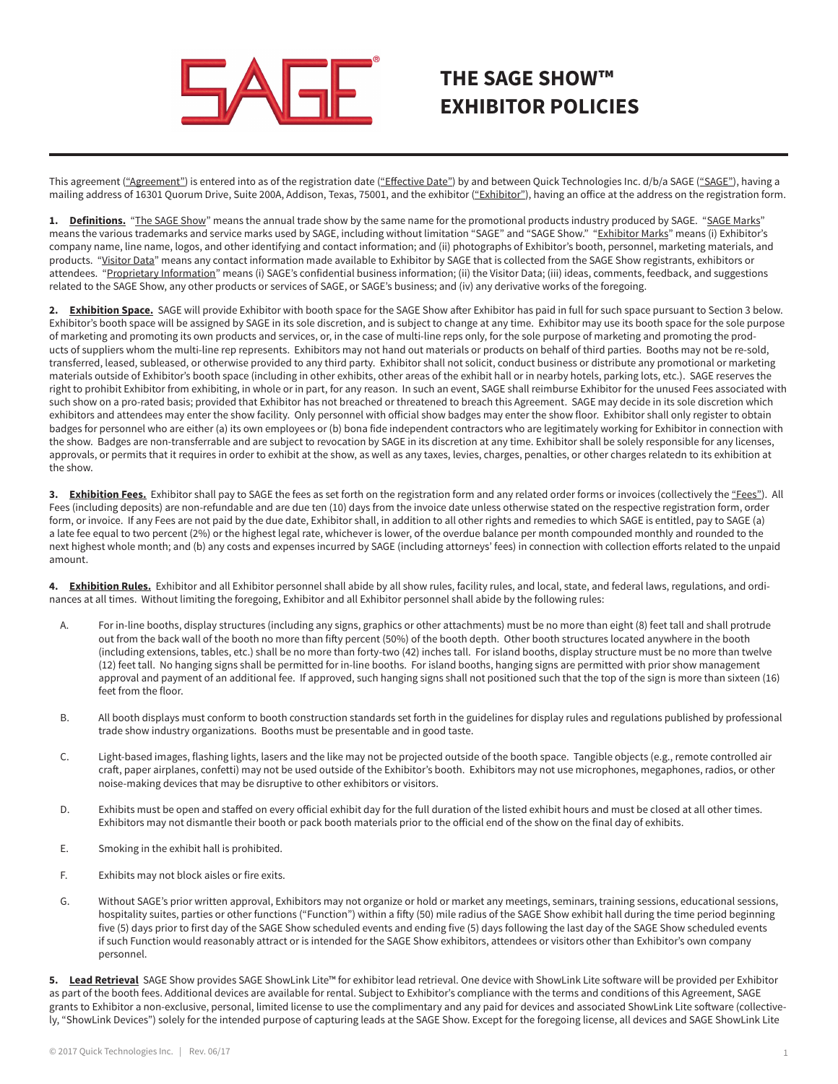

## **THE SAGE SHOW™ EXHIBITOR POLICIES**

This agreement ("Agreement") is entered into as of the registration date ("Effective Date") by and between Quick Technologies Inc. d/b/a SAGE ("SAGE"), having a mailing address of 16301 Quorum Drive, Suite 200A, Addison, Texas, 75001, and the exhibitor ("Exhibitor"), having an office at the address on the registration form.

1. Definitions. "The SAGE Show" means the annual trade show by the same name for the promotional products industry produced by SAGE. "SAGE Marks" means the various trademarks and service marks used by SAGE, including without limitation "SAGE" and "SAGE Show." "Exhibitor Marks" means (i) Exhibitor's company name, line name, logos, and other identifying and contact information; and (ii) photographs of Exhibitor's booth, personnel, marketing materials, and products. "Visitor Data" means any contact information made available to Exhibitor by SAGE that is collected from the SAGE Show registrants, exhibitors or attendees. "Proprietary Information" means (i) SAGE's confidential business information; (ii) the Visitor Data; (iii) ideas, comments, feedback, and suggestions related to the SAGE Show, any other products or services of SAGE, or SAGE's business; and (iv) any derivative works of the foregoing.

**2. Exhibition Space.** SAGE will provide Exhibitor with booth space for the SAGE Show after Exhibitor has paid in full for such space pursuant to Section 3 below. Exhibitor's booth space will be assigned by SAGE in its sole discretion, and is subject to change at any time. Exhibitor may use its booth space for the sole purpose of marketing and promoting its own products and services, or, in the case of multi-line reps only, for the sole purpose of marketing and promoting the products of suppliers whom the multi-line rep represents. Exhibitors may not hand out materials or products on behalf of third parties. Booths may not be re-sold, transferred, leased, subleased, or otherwise provided to any third party. Exhibitor shall not solicit, conduct business or distribute any promotional or marketing materials outside of Exhibitor's booth space (including in other exhibits, other areas of the exhibit hall or in nearby hotels, parking lots, etc.). SAGE reserves the right to prohibit Exhibitor from exhibiting, in whole or in part, for any reason. In such an event, SAGE shall reimburse Exhibitor for the unused Fees associated with such show on a pro-rated basis; provided that Exhibitor has not breached or threatened to breach this Agreement. SAGE may decide in its sole discretion which exhibitors and attendees may enter the show facility. Only personnel with official show badges may enter the show floor. Exhibitor shall only register to obtain badges for personnel who are either (a) its own employees or (b) bona fide independent contractors who are legitimately working for Exhibitor in connection with the show. Badges are non-transferrable and are subject to revocation by SAGE in its discretion at any time. Exhibitor shall be solely responsible for any licenses, approvals, or permits that it requires in order to exhibit at the show, as well as any taxes, levies, charges, penalties, or other charges relatedn to its exhibition at the show.

3. **Exhibition Fees.** Exhibitor shall pay to SAGE the fees as set forth on the registration form and any related order forms or invoices (collectively the "Fees"). All Fees (including deposits) are non-refundable and are due ten (10) days from the invoice date unless otherwise stated on the respective registration form, order form, or invoice. If any Fees are not paid by the due date, Exhibitor shall, in addition to all other rights and remedies to which SAGE is entitled, pay to SAGE (a) a late fee equal to two percent (2%) or the highest legal rate, whichever is lower, of the overdue balance per month compounded monthly and rounded to the next highest whole month; and (b) any costs and expenses incurred by SAGE (including attorneys' fees) in connection with collection efforts related to the unpaid amount.

4. Exhibition Rules. Exhibitor and all Exhibitor personnel shall abide by all show rules, facility rules, and local, state, and federal laws, regulations, and ordinances at all times. Without limiting the foregoing, Exhibitor and all Exhibitor personnel shall abide by the following rules:

- A. For in-line booths, display structures (including any signs, graphics or other attachments) must be no more than eight (8) feet tall and shall protrude out from the back wall of the booth no more than fifty percent (50%) of the booth depth. Other booth structures located anywhere in the booth (including extensions, tables, etc.) shall be no more than forty-two (42) inches tall. For island booths, display structure must be no more than twelve (12) feet tall. No hanging signs shall be permitted for in-line booths. For island booths, hanging signs are permitted with prior show management approval and payment of an additional fee. If approved, such hanging signs shall not positioned such that the top of the sign is more than sixteen (16) feet from the floor.
- B. All booth displays must conform to booth construction standards set forth in the guidelines for display rules and regulations published by professional trade show industry organizations. Booths must be presentable and in good taste.
- C. Light-based images, flashing lights, lasers and the like may not be projected outside of the booth space. Tangible objects (e.g., remote controlled air craft, paper airplanes, confetti) may not be used outside of the Exhibitor's booth. Exhibitors may not use microphones, megaphones, radios, or other noise-making devices that may be disruptive to other exhibitors or visitors.
- D. Exhibits must be open and staffed on every official exhibit day for the full duration of the listed exhibit hours and must be closed at all other times. Exhibitors may not dismantle their booth or pack booth materials prior to the official end of the show on the final day of exhibits.
- E. Smoking in the exhibit hall is prohibited.
- F. Exhibits may not block aisles or fire exits.
- G. Without SAGE's prior written approval, Exhibitors may not organize or hold or market any meetings, seminars, training sessions, educational sessions, hospitality suites, parties or other functions ("Function") within a fifty (50) mile radius of the SAGE Show exhibit hall during the time period beginning five (5) days prior to first day of the SAGE Show scheduled events and ending five (5) days following the last day of the SAGE Show scheduled events if such Function would reasonably attract or is intended for the SAGE Show exhibitors, attendees or visitors other than Exhibitor's own company personnel.

5. Lead Retrieval SAGE Show provides SAGE ShowLink Lite™ for exhibitor lead retrieval. One device with ShowLink Lite software will be provided per Exhibitor as part of the booth fees. Additional devices are available for rental. Subject to Exhibitor's compliance with the terms and conditions of this Agreement, SAGE grants to Exhibitor a non-exclusive, personal, limited license to use the complimentary and any paid for devices and associated ShowLink Lite software (collectively, "ShowLink Devices") solely for the intended purpose of capturing leads at the SAGE Show. Except for the foregoing license, all devices and SAGE ShowLink Lite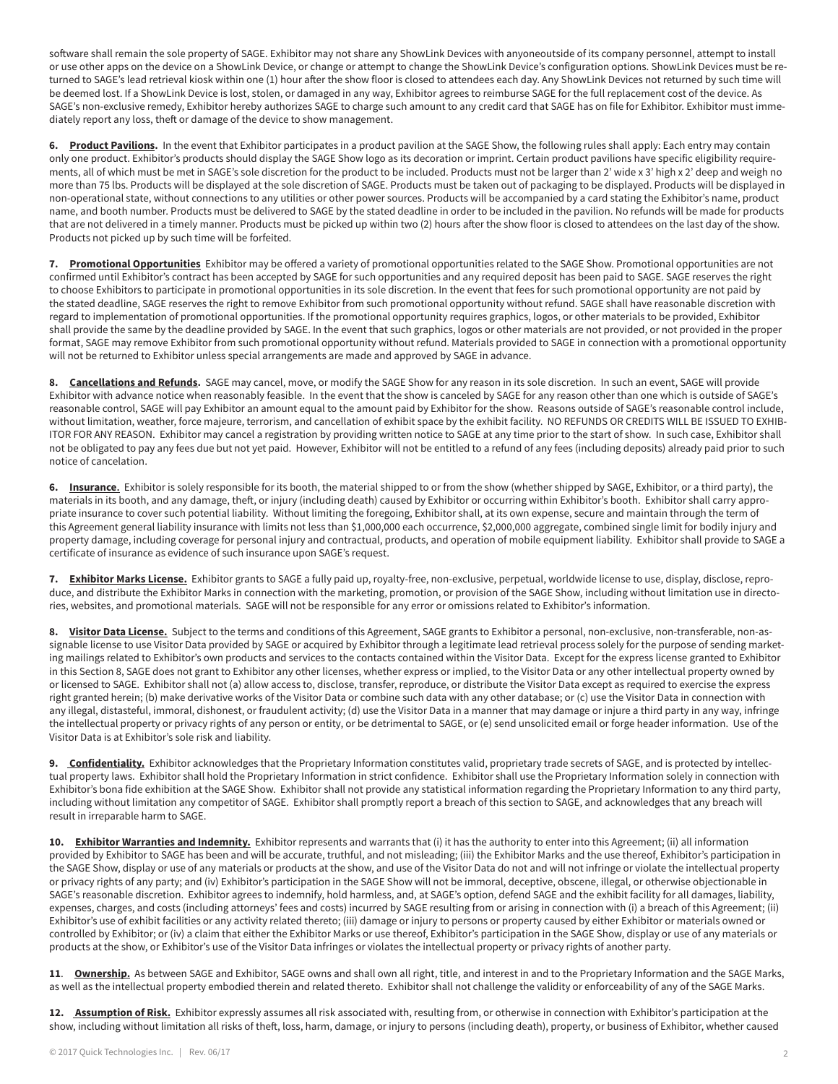software shall remain the sole property of SAGE. Exhibitor may not share any ShowLink Devices with anyoneoutside of its company personnel, attempt to install or use other apps on the device on a ShowLink Device, or change or attempt to change the ShowLink Device's configuration options. ShowLink Devices must be returned to SAGE's lead retrieval kiosk within one (1) hour after the show floor is closed to attendees each day. Any ShowLink Devices not returned by such time will be deemed lost. If a ShowLink Device is lost, stolen, or damaged in any way, Exhibitor agrees to reimburse SAGE for the full replacement cost of the device. As SAGE's non-exclusive remedy, Exhibitor hereby authorizes SAGE to charge such amount to any credit card that SAGE has on file for Exhibitor. Exhibitor must immediately report any loss, theft or damage of the device to show management.

**6. Product Pavilions.** In the event that Exhibitor participates in a product pavilion at the SAGE Show, the following rules shall apply: Each entry may contain only one product. Exhibitor's products should display the SAGE Show logo as its decoration or imprint. Certain product pavilions have specific eligibility requirements, all of which must be met in SAGE's sole discretion for the product to be included. Products must not be larger than 2' wide x 3' high x 2' deep and weigh no more than 75 lbs. Products will be displayed at the sole discretion of SAGE. Products must be taken out of packaging to be displayed. Products will be displayed in non-operational state, without connections to any utilities or other power sources. Products will be accompanied by a card stating the Exhibitor's name, product name, and booth number. Products must be delivered to SAGE by the stated deadline in order to be included in the pavilion. No refunds will be made for products that are not delivered in a timely manner. Products must be picked up within two (2) hours after the show floor is closed to attendees on the last day of the show. Products not picked up by such time will be forfeited.

**7. Promotional Opportunities** Exhibitor may be offered a variety of promotional opportunities related to the SAGE Show. Promotional opportunities are not confirmed until Exhibitor's contract has been accepted by SAGE for such opportunities and any required deposit has been paid to SAGE. SAGE reserves the right to choose Exhibitors to participate in promotional opportunities in its sole discretion. In the event that fees for such promotional opportunity are not paid by the stated deadline, SAGE reserves the right to remove Exhibitor from such promotional opportunity without refund. SAGE shall have reasonable discretion with regard to implementation of promotional opportunities. If the promotional opportunity requires graphics, logos, or other materials to be provided, Exhibitor shall provide the same by the deadline provided by SAGE. In the event that such graphics, logos or other materials are not provided, or not provided in the proper format, SAGE may remove Exhibitor from such promotional opportunity without refund. Materials provided to SAGE in connection with a promotional opportunity will not be returned to Exhibitor unless special arrangements are made and approved by SAGE in advance.

8. Cancellations and Refunds. SAGE may cancel, move, or modify the SAGE Show for any reason in its sole discretion. In such an event, SAGE will provide Exhibitor with advance notice when reasonably feasible. In the event that the show is canceled by SAGE for any reason other than one which is outside of SAGE's reasonable control, SAGE will pay Exhibitor an amount equal to the amount paid by Exhibitor for the show. Reasons outside of SAGE's reasonable control include, without limitation, weather, force majeure, terrorism, and cancellation of exhibit space by the exhibit facility. NO REFUNDS OR CREDITS WILL BE ISSUED TO EXHIB-ITOR FOR ANY REASON. Exhibitor may cancel a registration by providing written notice to SAGE at any time prior to the start of show. In such case, Exhibitor shall not be obligated to pay any fees due but not yet paid. However, Exhibitor will not be entitled to a refund of any fees (including deposits) already paid prior to such notice of cancelation.

**6. Insurance.** Exhibitor is solely responsible for its booth, the material shipped to or from the show (whether shipped by SAGE, Exhibitor, or a third party), the materials in its booth, and any damage, theft, or injury (including death) caused by Exhibitor or occurring within Exhibitor's booth. Exhibitor shall carry appropriate insurance to cover such potential liability. Without limiting the foregoing, Exhibitor shall, at its own expense, secure and maintain through the term of this Agreement general liability insurance with limits not less than \$1,000,000 each occurrence, \$2,000,000 aggregate, combined single limit for bodily injury and property damage, including coverage for personal injury and contractual, products, and operation of mobile equipment liability. Exhibitor shall provide to SAGE a certificate of insurance as evidence of such insurance upon SAGE's request.

**7. Exhibitor Marks License.** Exhibitor grants to SAGE a fully paid up, royalty-free, non-exclusive, perpetual, worldwide license to use, display, disclose, reproduce, and distribute the Exhibitor Marks in connection with the marketing, promotion, or provision of the SAGE Show, including without limitation use in directories, websites, and promotional materials. SAGE will not be responsible for any error or omissions related to Exhibitor's information.

8. Visitor Data License. Subject to the terms and conditions of this Agreement, SAGE grants to Exhibitor a personal, non-exclusive, non-transferable, non-assignable license to use Visitor Data provided by SAGE or acquired by Exhibitor through a legitimate lead retrieval process solely for the purpose of sending marketing mailings related to Exhibitor's own products and services to the contacts contained within the Visitor Data. Except for the express license granted to Exhibitor in this Section 8, SAGE does not grant to Exhibitor any other licenses, whether express or implied, to the Visitor Data or any other intellectual property owned by or licensed to SAGE. Exhibitor shall not (a) allow access to, disclose, transfer, reproduce, or distribute the Visitor Data except as required to exercise the express right granted herein; (b) make derivative works of the Visitor Data or combine such data with any other database; or (c) use the Visitor Data in connection with any illegal, distasteful, immoral, dishonest, or fraudulent activity; (d) use the Visitor Data in a manner that may damage or injure a third party in any way, infringe the intellectual property or privacy rights of any person or entity, or be detrimental to SAGE, or (e) send unsolicited email or forge header information. Use of the Visitor Data is at Exhibitor's sole risk and liability.

**9. Confidentiality.** Exhibitor acknowledges that the Proprietary Information constitutes valid, proprietary trade secrets of SAGE, and is protected by intellectual property laws. Exhibitor shall hold the Proprietary Information in strict confidence. Exhibitor shall use the Proprietary Information solely in connection with Exhibitor's bona fide exhibition at the SAGE Show. Exhibitor shall not provide any statistical information regarding the Proprietary Information to any third party, including without limitation any competitor of SAGE. Exhibitor shall promptly report a breach of this section to SAGE, and acknowledges that any breach will result in irreparable harm to SAGE.

**10. Exhibitor Warranties and Indemnity.** Exhibitor represents and warrants that (i) it has the authority to enter into this Agreement; (ii) all information provided by Exhibitor to SAGE has been and will be accurate, truthful, and not misleading; (iii) the Exhibitor Marks and the use thereof, Exhibitor's participation in the SAGE Show, display or use of any materials or products at the show, and use of the Visitor Data do not and will not infringe or violate the intellectual property or privacy rights of any party; and (iv) Exhibitor's participation in the SAGE Show will not be immoral, deceptive, obscene, illegal, or otherwise objectionable in SAGE's reasonable discretion. Exhibitor agrees to indemnify, hold harmless, and, at SAGE's option, defend SAGE and the exhibit facility for all damages, liability, expenses, charges, and costs (including attorneys' fees and costs) incurred by SAGE resulting from or arising in connection with (i) a breach of this Agreement; (ii) Exhibitor's use of exhibit facilities or any activity related thereto; (iii) damage or injury to persons or property caused by either Exhibitor or materials owned or controlled by Exhibitor; or (iv) a claim that either the Exhibitor Marks or use thereof, Exhibitor's participation in the SAGE Show, display or use of any materials or products at the show, or Exhibitor's use of the Visitor Data infringes or violates the intellectual property or privacy rights of another party.

11. Ownership. As between SAGE and Exhibitor, SAGE owns and shall own all right, title, and interest in and to the Proprietary Information and the SAGE Marks, as well as the intellectual property embodied therein and related thereto. Exhibitor shall not challenge the validity or enforceability of any of the SAGE Marks.

**12. Assumption of Risk.** Exhibitor expressly assumes all risk associated with, resulting from, or otherwise in connection with Exhibitor's participation at the show, including without limitation all risks of theft, loss, harm, damage, or injury to persons (including death), property, or business of Exhibitor, whether caused